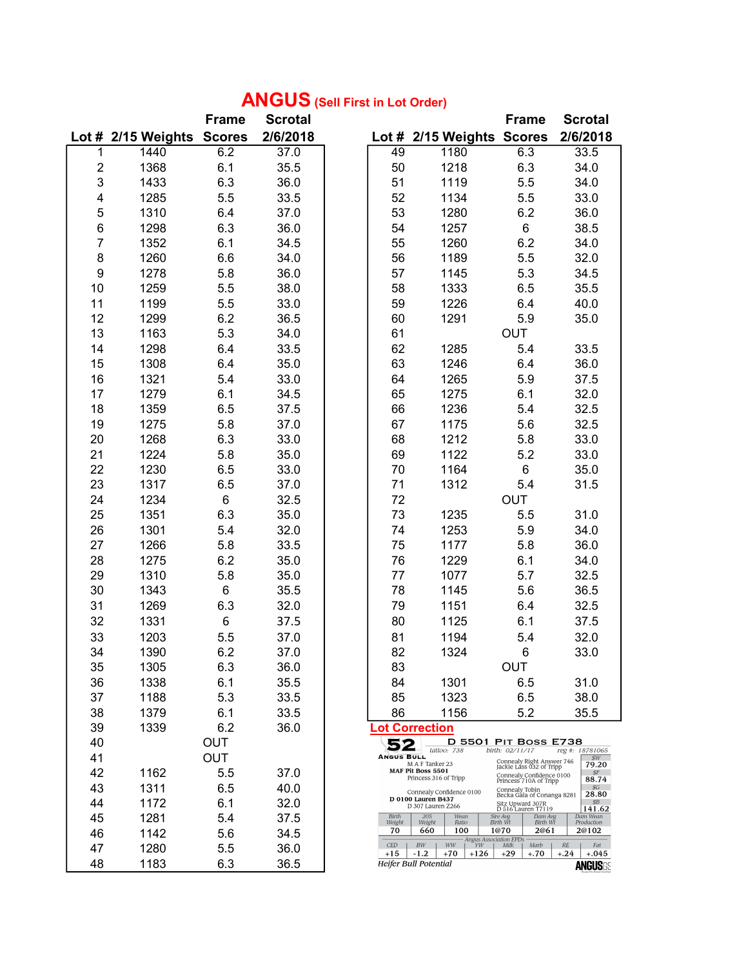## ANGUS (Sell First in Lot Order)

|                         |                           | <b>Frame</b> | <b>Scrotal</b> |                     |                                                | <b>Frame</b>                                                                                                | <b>Scrotal</b>                         |
|-------------------------|---------------------------|--------------|----------------|---------------------|------------------------------------------------|-------------------------------------------------------------------------------------------------------------|----------------------------------------|
|                         | Lot # 2/15 Weights Scores |              | 2/6/2018       |                     | Lot # 2/15 Weights Scores                      |                                                                                                             | 2/6/2018                               |
| 1                       | 1440                      | 6.2          | 37.0           | 49                  | 1180                                           | 6.3                                                                                                         | 33.5                                   |
| $\overline{\mathbf{c}}$ | 1368                      | 6.1          | 35.5           | 50                  | 1218                                           | 6.3                                                                                                         | 34.0                                   |
| 3                       | 1433                      | 6.3          | 36.0           | 51                  | 1119                                           | 5.5                                                                                                         | 34.0                                   |
| 4                       | 1285                      | 5.5          | 33.5           | 52                  | 1134                                           | 5.5                                                                                                         | 33.0                                   |
| 5                       | 1310                      | 6.4          | 37.0           | 53                  | 1280                                           | 6.2                                                                                                         | 36.0                                   |
| 6                       | 1298                      | 6.3          | 36.0           | 54                  | 1257                                           | $6\overline{6}$                                                                                             | 38.5                                   |
| $\overline{7}$          | 1352                      | 6.1          | 34.5           | 55                  | 1260                                           | 6.2                                                                                                         | 34.0                                   |
| 8                       | 1260                      | 6.6          | 34.0           | 56                  | 1189                                           | 5.5                                                                                                         | 32.0                                   |
| 9                       | 1278                      | 5.8          | 36.0           | 57                  | 1145                                           | 5.3                                                                                                         | 34.5                                   |
| 10                      | 1259                      | 5.5          | 38.0           | 58                  | 1333                                           | 6.5                                                                                                         | 35.5                                   |
| 11                      | 1199                      | 5.5          | 33.0           | 59                  | 1226                                           | 6.4                                                                                                         | 40.0                                   |
| 12                      | 1299                      | $6.2\,$      | 36.5           | 60                  | 1291                                           | 5.9                                                                                                         | 35.0                                   |
| 13                      | 1163                      | 5.3          | 34.0           | 61                  |                                                | <b>OUT</b>                                                                                                  |                                        |
| 14                      | 1298                      | 6.4          | 33.5           | 62                  | 1285                                           | 5.4                                                                                                         | 33.5                                   |
| 15                      | 1308                      | 6.4          | 35.0           | 63                  | 1246                                           | 6.4                                                                                                         | 36.0                                   |
| 16                      | 1321                      | 5.4          | 33.0           | 64                  | 1265                                           | 5.9                                                                                                         | 37.5                                   |
| 17                      | 1279                      | 6.1          | 34.5           | 65                  | 1275                                           | 6.1                                                                                                         | 32.0                                   |
| 18                      | 1359                      | 6.5          | 37.5           | 66                  | 1236                                           | 5.4                                                                                                         | 32.5                                   |
| 19                      | 1275                      | 5.8          | 37.0           | 67                  | 1175                                           | 5.6                                                                                                         | 32.5                                   |
| 20                      | 1268                      | 6.3          | 33.0           | 68                  | 1212                                           | 5.8                                                                                                         | 33.0                                   |
| 21                      | 1224                      | 5.8          | 35.0           | 69                  | 1122                                           | 5.2                                                                                                         | 33.0                                   |
| 22                      | 1230                      | 6.5          | 33.0           | 70                  | 1164                                           | $6\overline{6}$                                                                                             | 35.0                                   |
| 23                      | 1317                      | 6.5          | 37.0           | 71                  | 1312                                           | 5.4                                                                                                         | 31.5                                   |
| 24                      | 1234                      | $\,6\,$      | 32.5           | 72                  |                                                | <b>OUT</b>                                                                                                  |                                        |
| 25                      | 1351                      | 6.3          | 35.0           | 73                  | 1235                                           | 5.5                                                                                                         | 31.0                                   |
| 26                      | 1301                      | 5.4          | 32.0           | 74                  | 1253                                           | 5.9                                                                                                         | 34.0                                   |
| 27                      | 1266                      | 5.8          | 33.5           | 75                  | 1177                                           | 5.8                                                                                                         | 36.0                                   |
| 28                      | 1275                      | 6.2          | 35.0           | 76                  | 1229                                           | 6.1                                                                                                         | 34.0                                   |
| 29                      | 1310                      | 5.8          | 35.0           | 77                  | 1077                                           | 5.7                                                                                                         | 32.5                                   |
| 30                      | 1343                      | $\,6\,$      | 35.5           | 78                  | 1145                                           | 5.6                                                                                                         | 36.5                                   |
| 31                      | 1269                      | 6.3          | 32.0           | 79                  | 1151                                           | 6.4                                                                                                         | 32.5                                   |
| 32                      | 1331                      | 6            | 37.5           | 80                  | 1125                                           | 6.1                                                                                                         | 37.5                                   |
| 33                      | 1203                      | 5.5          | 37.0           | 81                  | 1194                                           | 5.4                                                                                                         | 32.0                                   |
| 34                      | 1390                      | 6.2          | 37.0           | 82                  | 1324                                           | 6                                                                                                           | 33.0                                   |
| 35                      | 1305                      | 6.3          | 36.0           | 83                  |                                                | OUT                                                                                                         |                                        |
| 36                      | 1338                      | 6.1          | 35.5           | 84                  | 1301                                           | 6.5                                                                                                         | 31.0                                   |
| 37                      | 1188                      | 5.3          | 33.5           | 85                  | 1323                                           | 6.5                                                                                                         | 38.0                                   |
| 38                      | 1379                      | 6.1          | 33.5           | 86                  | 1156                                           | 5.2                                                                                                         | 35.5                                   |
| 39                      | 1339                      | 6.2          | 36.0           |                     | <b>Lot Correction</b>                          |                                                                                                             |                                        |
| 40                      |                           | <b>OUT</b>   |                | 52                  |                                                | D 5501 PIT BOSS E738                                                                                        |                                        |
| 41                      |                           | <b>OUT</b>   |                | <b>ANGUS BULL</b>   | tattoo: 738<br>M A F Tanker 23                 | birth: 02/11/17                                                                                             | reg #: 18781065<br>SW                  |
| 42                      | 1162                      | 5.5          | 37.0           |                     | MAF Pit Boss 5501<br>Princess 316 of Tripp     | Connealy Right Answer 746<br>Jackie Lass 032 of Tripp<br>Connealy Confidence 0100<br>Princess 710A of Tripp | 79.20<br>$S\!F$                        |
| 43                      | 1311                      | 6.5          | 40.0           |                     | Connealy Confidence 0100                       | Connealy Tobin<br>Becka Gala of Conanga 8281                                                                | 88.74<br>\$G\$<br>28.80                |
| 44                      | 1172                      | 6.1          | 32.0           |                     | <b>D 0100 Lauren B437</b><br>D 307 Lauren Z266 | Sitz Upward 307R<br>D 516 Lauren T7119                                                                      | \$B<br>141.62                          |
| 45                      | 1281                      | 5.4          | 37.5           | Birth<br>Weight     | 205<br>Wean<br>Weight<br>Ratio                 | Sire Avg<br>Dam Avg<br>Birth Wt<br><b>Birth Wt</b>                                                          | Dam Wean<br>Production                 |
| 46                      | 1142                      | 5.6          | 34.5           | 70                  | 660<br>100<br>Angus Association EPDs           | 1@70<br>2@61                                                                                                | 2@102                                  |
| 47                      | 1280                      | 5.5          | 36.0           | <b>CED</b><br>$+15$ | $BW$<br>WW<br>YW<br>$-1.2$<br>$+70$<br>$+126$  | Milk<br>Marb<br>$+.70$<br>$+29$                                                                             | $\cal{RE}$<br>Fat<br>$+.24$<br>$+.045$ |
| 48                      | 1183                      | 6.3          | 36.5           |                     | Heifer Bull Potential                          |                                                                                                             | <b>ANGUSGS</b>                         |